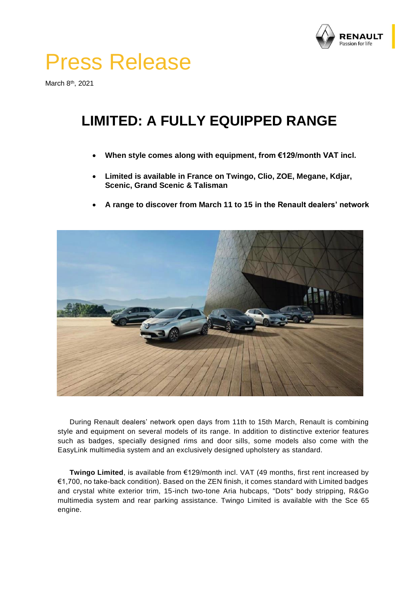

## Press Release

March 8<sup>th</sup>, 2021

## **LIMITED: A FULLY EQUIPPED RANGE**

- **When style comes along with equipment, from €129/month VAT incl.**
- **Limited is available in France on Twingo, Clio, ZOE, Megane, Kdjar, Scenic, Grand Scenic & Talisman**
- **A range to discover from March 11 to 15 in the Renault dealers' network**



During Renault dealers' network open days from 11th to 15th March, Renault is combining style and equipment on several models of its range. In addition to distinctive exterior features such as badges, specially designed rims and door sills, some models also come with the EasyLink multimedia system and an exclusively designed upholstery as standard.

**Twingo Limited**, is available from €129/month incl. VAT (49 months, first rent increased by €1,700, no take-back condition). Based on the ZEN finish, it comes standard with Limited badges and crystal white exterior trim, 15-inch two-tone Aria hubcaps, "Dots" body stripping, R&Go multimedia system and rear parking assistance. Twingo Limited is available with the Sce 65 engine.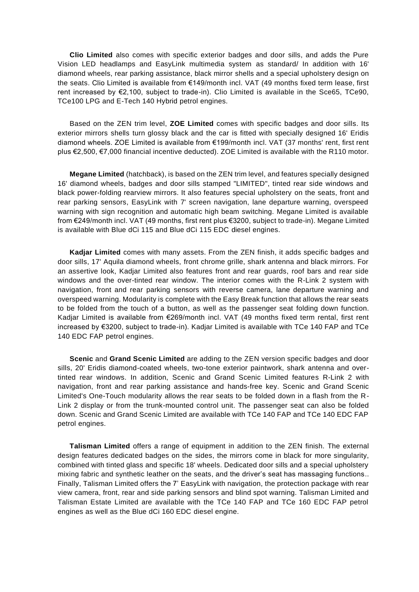**Clio Limited** also comes with specific exterior badges and door sills, and adds the Pure Vision LED headlamps and EasyLink multimedia system as standard/ In addition with 16' diamond wheels, rear parking assistance, black mirror shells and a special upholstery design on the seats. Clio Limited is available from €149/month incl. VAT (49 months fixed term lease, first rent increased by €2,100, subject to trade-in). Clio Limited is available in the Sce65, TCe90, TCe100 LPG and E-Tech 140 Hybrid petrol engines.

Based on the ZEN trim level, **ZOE Limited** comes with specific badges and door sills. Its exterior mirrors shells turn glossy black and the car is fitted with specially designed 16' Eridis diamond wheels. ZOE Limited is available from €199/month incl. VAT (37 months' rent, first rent plus €2,500, €7,000 financial incentive deducted). ZOE Limited is available with the R110 motor.

**Megane Limited** (hatchback), is based on the ZEN trim level, and features specially designed 16' diamond wheels, badges and door sills stamped "LIMITED", tinted rear side windows and black power-folding rearview mirrors. It also features special upholstery on the seats, front and rear parking sensors, EasyLink with 7' screen navigation, lane departure warning, overspeed warning with sign recognition and automatic high beam switching. Megane Limited is available from €249/month incl. VAT (49 months, first rent plus €3200, subject to trade-in). Megane Limited is available with Blue dCi 115 and Blue dCi 115 EDC diesel engines.

**Kadjar Limited** comes with many assets. From the ZEN finish, it adds specific badges and door sills, 17' Aquila diamond wheels, front chrome grille, shark antenna and black mirrors. For an assertive look, Kadjar Limited also features front and rear guards, roof bars and rear side windows and the over-tinted rear window. The interior comes with the R-Link 2 system with navigation, front and rear parking sensors with reverse camera, lane departure warning and overspeed warning. Modularity is complete with the Easy Break function that allows the rear seats to be folded from the touch of a button, as well as the passenger seat folding down function. Kadjar Limited is available from €269/month incl. VAT (49 months fixed term rental, first rent increased by €3200, subject to trade-in). Kadjar Limited is available with TCe 140 FAP and TCe 140 EDC FAP petrol engines.

**Scenic** and **Grand Scenic Limited** are adding to the ZEN version specific badges and door sills, 20' Eridis diamond-coated wheels, two-tone exterior paintwork, shark antenna and overtinted rear windows. In addition, Scenic and Grand Scenic Limited features R-Link 2 with navigation, front and rear parking assistance and hands-free key. Scenic and Grand Scenic Limited's One-Touch modularity allows the rear seats to be folded down in a flash from the R-Link 2 display or from the trunk-mounted control unit. The passenger seat can also be folded down. Scenic and Grand Scenic Limited are available with TCe 140 FAP and TCe 140 EDC FAP petrol engines.

**Talisman Limited** offers a range of equipment in addition to the ZEN finish. The external design features dedicated badges on the sides, the mirrors come in black for more singularity, combined with tinted glass and specific 18' wheels. Dedicated door sills and a special upholstery mixing fabric and synthetic leather on the seats, and the driver's seat has massaging functions.. Finally, Talisman Limited offers the 7' EasyLink with navigation, the protection package with rear view camera, front, rear and side parking sensors and blind spot warning. Talisman Limited and Talisman Estate Limited are available with the TCe 140 FAP and TCe 160 EDC FAP petrol engines as well as the Blue dCi 160 EDC diesel engine.